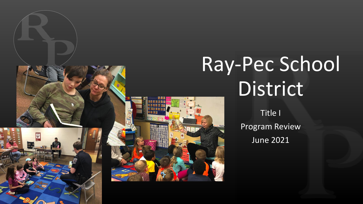

## Ray-Pec School **District**

Title I Program Review June 2021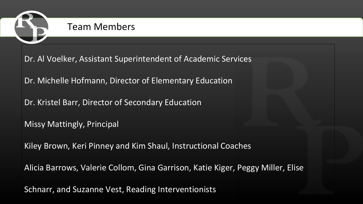

#### Team Members

Dr. Al Voelker, Assistant Superintendent of Academic Services

Dr. Michelle Hofmann, Director of Elementary Education

Dr. Kristel Barr, Director of Secondary Education

Missy Mattingly, Principal

Kiley Brown, Keri Pinney and Kim Shaul, Instructional Coaches

Alicia Barrows, Valerie Collom, Gina Garrison, Katie Kiger, Peggy Miller, Elise

Schnarr, and Suzanne Vest, Reading Interventionists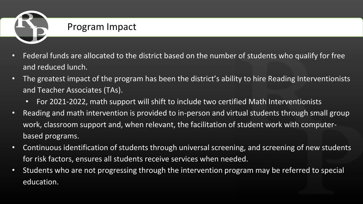

#### Program Impact

- Federal funds are allocated to the district based on the number of students who qualify for free and reduced lunch.
- The greatest impact of the program has been the district's ability to hire Reading Interventionists and Teacher Associates (TAs).
	- For 2021-2022, math support will shift to include two certified Math Interventionists
- Reading and math intervention is provided to in-person and virtual students through small group work, classroom support and, when relevant, the facilitation of student work with computerbased programs.
- Continuous identification of students through universal screening, and screening of new students for risk factors, ensures all students receive services when needed.
- Students who are not progressing through the intervention program may be referred to special education.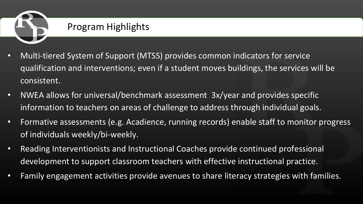

#### Program Highlights

- Multi-tiered System of Support (MTSS) provides common indicators for service qualification and interventions; even if a student moves buildings, the services will be consistent.
- NWEA allows for universal/benchmark assessment 3x/year and provides specific information to teachers on areas of challenge to address through individual goals.
- Formative assessments (e.g. Acadience, running records) enable staff to monitor progress of individuals weekly/bi-weekly.
- Reading Interventionists and Instructional Coaches provide continued professional development to support classroom teachers with effective instructional practice.
- Family engagement activities provide avenues to share literacy strategies with families.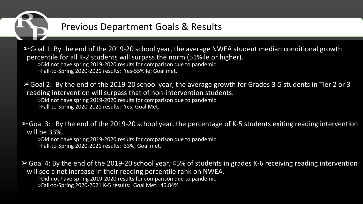

#### Previous Department Goals & Results

 $\geq$  Goal 1: By the end of the 2019-20 school year, the average NWEA student median conditional growth percentile for all K-2 students will surpass the norm (51%ile or higher). ○Did not have spring 2019-2020 results for comparison due to pandemic ○Fall-to-Spring 2020-2021 results: Yes-55%ile; Goal met.

 $\geq$  Goal 2: By the end of the 2019-20 school year, the average growth for Grades 3-5 students in Tier 2 or 3 reading intervention will surpass that of non-intervention students. ○Did not have spring 2019-2020 results for comparison due to pandemic ○Fall-to-Spring 2020-2021 results: Yes; Goal Met.

➢Goal 3: By the end of the 2019-20 school year, the percentage of K-5 students exiting reading intervention will be 33%.

○Did not have spring 2019-2020 results for comparison due to pandemic ○Fall-to-Spring 2020-2021 results: 33%; Goal met.

 $\geq$  Goal 4: By the end of the 2019-20 school year, 45% of students in grades K-6 receiving reading intervention will see a net increase in their reading percentile rank on NWEA.  $\circ$ Did not have spring 2019-2020 results for comparison due to pandemic ○Fall-to-Spring 2020-2021 K-5 results: Goal Met. 45.84%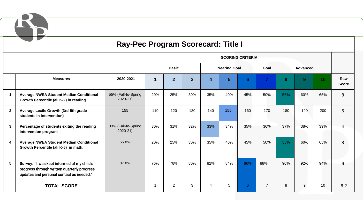

#### **Ray-Pec Program Scorecard: Title I**

|                         |                                                                                                                                       | <b>SCORING CRITERIA</b>            |              |                |                |                     |                |     |                |                 |                |                 |                          |
|-------------------------|---------------------------------------------------------------------------------------------------------------------------------------|------------------------------------|--------------|----------------|----------------|---------------------|----------------|-----|----------------|-----------------|----------------|-----------------|--------------------------|
|                         |                                                                                                                                       |                                    | <b>Basic</b> |                |                | <b>Nearing Goal</b> |                |     | Goal           | <b>Advanced</b> |                |                 |                          |
|                         | <b>Measures</b>                                                                                                                       | 2020-2021                          | 1            | $\overline{2}$ | $\overline{3}$ | 4                   | 5 <sup>5</sup> | 6   | $\overline{7}$ | 8               | 9 <sup>°</sup> | 10 <sup>°</sup> | Raw<br><b>Score</b>      |
| -1                      | <b>Average NWEA Student Median Conditional</b><br>Growth Percentile (all K-2) in reading                                              | 55% (Fall-to-Spring<br>$2020 - 21$ | 20%          | 25%            | 30%            | 35%                 | 40%            | 45% | 50%            | 55%             | 60%            | 65%             | 8                        |
| $\mathbf{2}$            | Average Lexile Growth (3rd-5th grade<br>students in intervention)                                                                     | 155                                | 110          | 120            | 130            | 140                 | 155            | 160 | 170            | 180             | 190            | 200             | 5                        |
| $\mathbf{3}$            | Percentage of students exiting the reading<br>intervention program                                                                    | 33% (Fall-to-Spring<br>$2020 - 21$ | 30%          | 31%            | 32%            | 33%                 | 34%            | 35% | 36%            | 37%             | 38%            | 39%             | $\overline{\mathcal{A}}$ |
| $\overline{\mathbf{4}}$ | <b>Average NWEA Student Median Conditional</b><br>Growth Percentile (all K-5) in math.                                                | 55.8%                              | 20%          | 25%            | 30%            | 35%                 | 40%            | 45% | 50%            | 55%             | 60%            | 65%             | 8                        |
| $5\phantom{.0}$         | Survey: "I was kept informed of my child's<br>progress through written quarterly progress<br>updates and personal contact as needed." | 87.8%                              | 76%          | 78%            | 80%            | 82%                 | 84%            | 86% | 88%            | 90%             | 92%            | 94%             | 6                        |
|                         | <b>TOTAL SCORE</b>                                                                                                                    |                                    |              | $\overline{2}$ | 3              | 4                   | 5              | 6   | $\overline{7}$ | 8               | 9              | 10              | 6.2                      |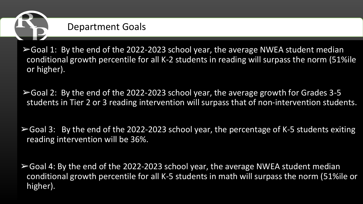

 $\triangleright$  Goal 1: By the end of the 2022-2023 school year, the average NWEA student median conditional growth percentile for all K-2 students in reading will surpass the norm (51%ile or higher).

 $\triangleright$  Goal 2: By the end of the 2022-2023 school year, the average growth for Grades 3-5 students in Tier 2 or 3 reading intervention will surpass that of non-intervention students.

 $\triangleright$  Goal 3: By the end of the 2022-2023 school year, the percentage of K-5 students exiting reading intervention will be 36%.

 $\triangleright$  Goal 4: By the end of the 2022-2023 school year, the average NWEA student median conditional growth percentile for all K-5 students in math will surpass the norm (51%ile or higher).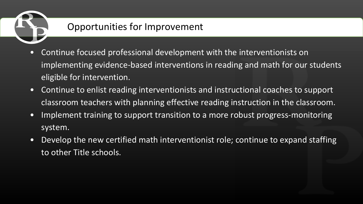

### Opportunities for Improvement

- Continue focused professional development with the interventionists on implementing evidence-based interventions in reading and math for our students eligible for intervention.
- Continue to enlist reading interventionists and instructional coaches to support classroom teachers with planning effective reading instruction in the classroom.
- Implement training to support transition to a more robust progress-monitoring system.
- Develop the new certified math interventionist role; continue to expand staffing to other Title schools.